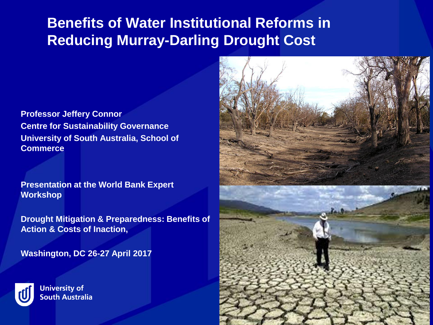# **Benefits of Water Institutional Reforms in Reducing Murray-Darling Drought Cost**

**Professor Jeffery Connor Centre for Sustainability Governance University of South Australia, School of Commerce**

**Presentation at the World Bank Expert Workshop**

**Drought Mitigation & Preparedness: Benefits of Action & Costs of Inaction,** 

**Washington, DC 26-27 April 2017** 



**University of South Australia** 

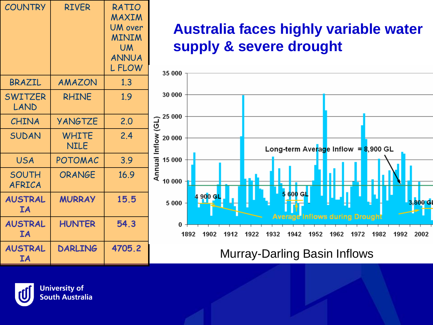| <b>COUNTRY</b>              | <b>RIVER</b>         | RATIO<br>MAXIM<br><b>UM</b> over<br><b>MINIM</b><br><b>UM</b><br><b>ANNUA</b><br><b>LFLOW</b> |
|-----------------------------|----------------------|-----------------------------------------------------------------------------------------------|
| BRAZIL                      | AMAZON               | 1.3                                                                                           |
| <b>SWITZER</b><br>LAND      | <b>RHINE</b>         | 1.9                                                                                           |
| CHINA                       | <b>YANGTZE</b>       | 2.0                                                                                           |
| <b>SUDAN</b>                | <b>WHITE</b><br>NILE | 2.4                                                                                           |
| <b>USA</b>                  | POTOMAC              | 3.9                                                                                           |
| <b>SOUTH</b><br>AFRICA      | ORANGE               | 16.9                                                                                          |
| <b>AUSTRAL</b><br><b>IA</b> | <b>MURRAY</b>        | 15.5                                                                                          |
| <b>AUSTRAL</b><br><b>TA</b> | <b>HUNTER</b>        | 54.3                                                                                          |
| <b>AUSTRAL</b><br><b>IA</b> | <b>DARLING</b>       | 4705.2                                                                                        |

# **Australia faces highly variable water supply & severe drought**



**Murray-Darling Basin Inflows** 



**University of South Australia**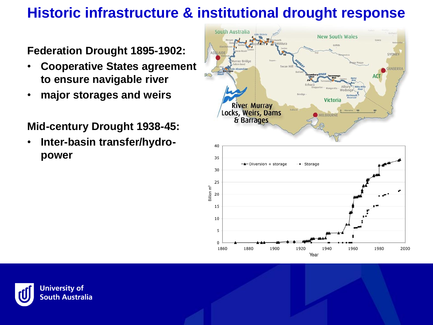# **Historic infrastructure & institutional drought response**

**Federation Drought 1895-1902:**

- **Cooperative States agreement to ensure navigable river**
- **major storages and weirs**

**Mid-century Drought 1938-45:** 

• **Inter-basin transfer/hydropower**



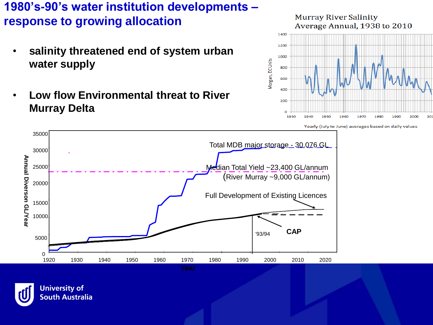**1980's-90's water institution developments – response to growing allocation**

- **salinity threatened end of system urban water supply**
- **Low flow Environmental threat to River Murray Delta**



Yearly (July to June) averages based on daily values



**University of South Australia**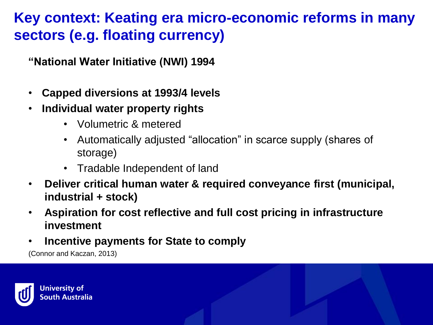# **Key context: Keating era micro-economic reforms in many sectors (e.g. floating currency)**

**"National Water Initiative (NWI) 1994**

- **Capped diversions at 1993/4 levels**
- **Individual water property rights**
	- Volumetric & metered
	- Automatically adjusted "allocation" in scarce supply (shares of storage)
	- Tradable Independent of land
- **Deliver critical human water & required conveyance first (municipal, industrial + stock)**
- **Aspiration for cost reflective and full cost pricing in infrastructure investment**
- **Incentive payments for State to comply**

(Connor and Kaczan, 2013)

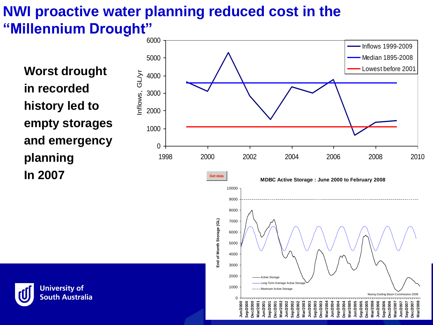# **NWI proactive water planning reduced cost in the "Millennium Drought"**

**Worst drought in recorded history led to empty storages and emergency planning In 2007**



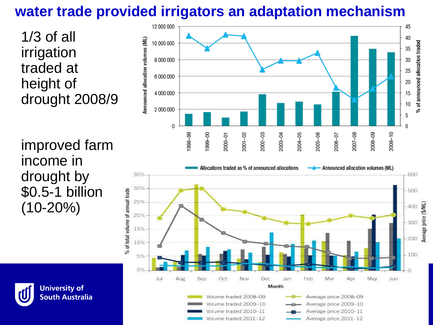# **water trade provided irrigators an adaptation mechanism**

1/3 of all irrigation traded at height of drought 2008/9

improved farm income in drought by \$0.5-1 billion (10-20%)



Average price 2010-11

Average price 2011-12

Volume traded 2010–11

Volume traded 2011-12

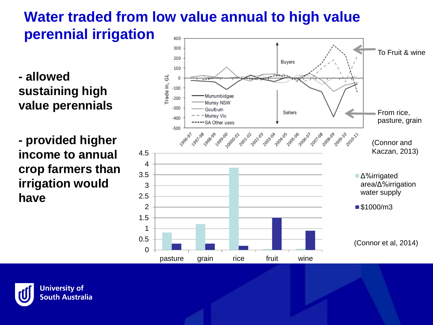#### **Water traded from low value annual to high value perennial irrigation** 400

**- allowed sustaining high value perennials**

**- provided higher income to annual crop farmers than irrigation would have**



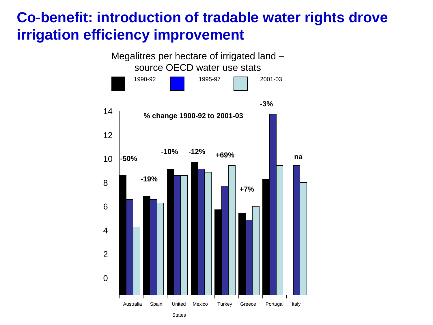### **Co-benefit: introduction of tradable water rights drove irrigation efficiency improvement**

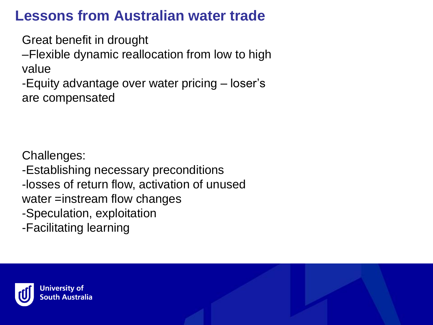# **Lessons from Australian water trade**

Great benefit in drought

–Flexible dynamic reallocation from low to high value

-Equity advantage over water pricing – loser's are compensated

Challenges: -Establishing necessary preconditions -losses of return flow, activation of unused water =instream flow changes -Speculation, exploitation -Facilitating learning

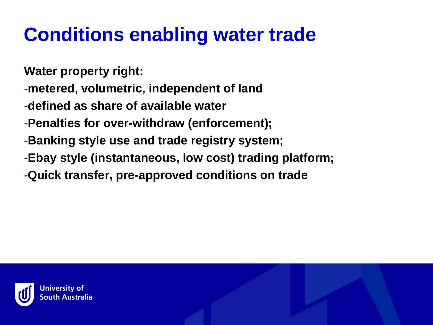# **Conditions enabling water trade**

**Water property right:**

- -**metered, volumetric, independent of land**
- -**defined as share of available water**
- -**Penalties for over-withdraw (enforcement);**
- -**Banking style use and trade registry system;**
- -**Ebay style (instantaneous, low cost) trading platform;**
- -**Quick transfer, pre-approved conditions on trade**

![](_page_10_Picture_8.jpeg)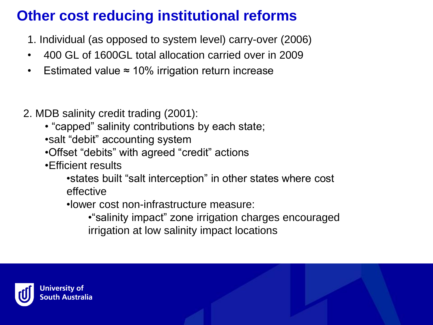# **Other cost reducing institutional reforms**

- 1. Individual (as opposed to system level) carry-over (2006)
- 400 GL of 1600GL total allocation carried over in 2009
- Estimated value ≈ 10% irrigation return increase
- 2. MDB salinity credit trading (2001):
	- "capped" salinity contributions by each state; •salt "debit" accounting system
	- •Offset "debits" with agreed "credit" actions
	- •Efficient results
		- •states built "salt interception" in other states where cost effective
		- •lower cost non-infrastructure measure:
			- •"salinity impact" zone irrigation charges encouraged irrigation at low salinity impact locations

![](_page_11_Picture_11.jpeg)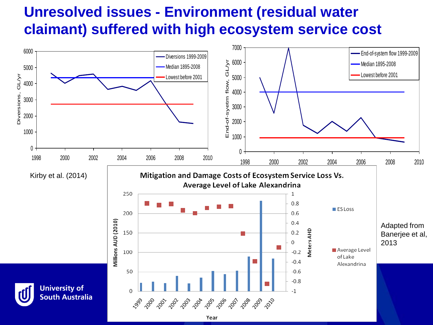# **Unresolved issues - Environment (residual water claimant) suffered with high ecosystem service cost**

![](_page_12_Figure_1.jpeg)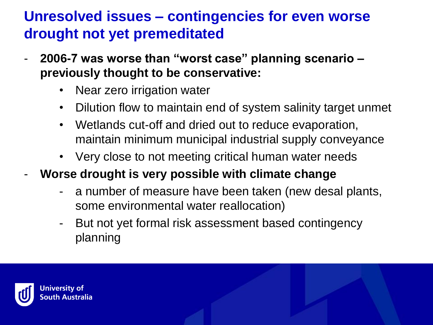# **Unresolved issues – contingencies for even worse drought not yet premeditated**

- **2006-7 was worse than "worst case" planning scenario – previously thought to be conservative:**
	- Near zero irrigation water
	- Dilution flow to maintain end of system salinity target unmet
	- Wetlands cut-off and dried out to reduce evaporation, maintain minimum municipal industrial supply conveyance
	- Very close to not meeting critical human water needs
- **Worse drought is very possible with climate change**
	- a number of measure have been taken (new desal plants, some environmental water reallocation)
	- But not yet formal risk assessment based contingency planning

![](_page_13_Picture_9.jpeg)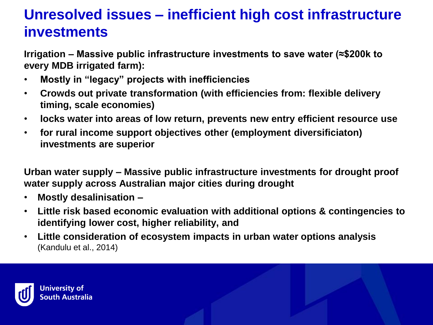# **Unresolved issues – inefficient high cost infrastructure investments**

**Irrigation – Massive public infrastructure investments to save water (≈\$200k to every MDB irrigated farm):**

- **Mostly in "legacy" projects with inefficiencies**
- **Crowds out private transformation (with efficiencies from: flexible delivery timing, scale economies)**
- **locks water into areas of low return, prevents new entry efficient resource use**
- **for rural income support objectives other (employment diversificiaton) investments are superior**

**Urban water supply – Massive public infrastructure investments for drought proof water supply across Australian major cities during drought**

- **Mostly desalinisation –**
- **Little risk based economic evaluation with additional options & contingencies to identifying lower cost, higher reliability, and**
- **Little consideration of ecosystem impacts in urban water options analysis**  (Kandulu et al., 2014)

![](_page_14_Picture_10.jpeg)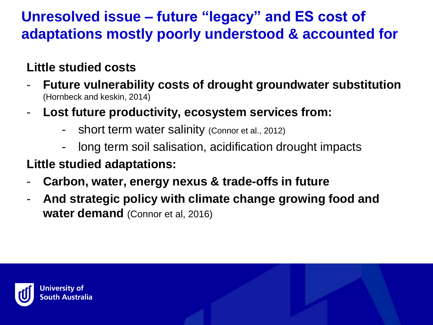# **Unresolved issue – future "legacy" and ES cost of adaptations mostly poorly understood & accounted for**

### **Little studied costs**

- **Future vulnerability costs of drought groundwater substitution**  (Hornbeck and keskin, 2014)
- **Lost future productivity, ecosystem services from:**
	- short term water salinity (Connor et al., 2012)
	- long term soil salisation, acidification drought impacts

#### **Little studied adaptations:**

- **Carbon, water, energy nexus & trade-offs in future**
- **And strategic policy with climate change growing food and water demand** (Connor et al, 2016)

![](_page_15_Picture_9.jpeg)